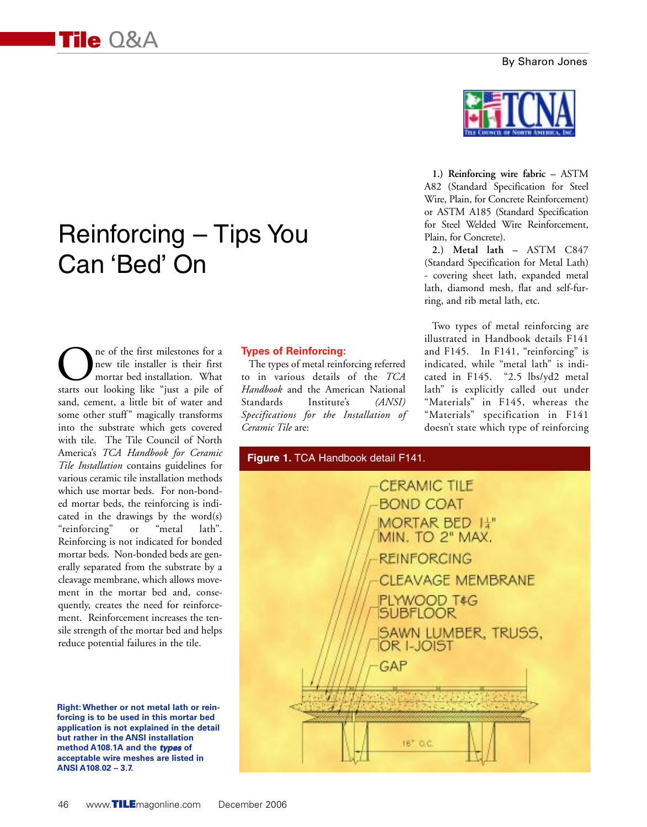#### By Sharon Jones

# Reinforcing – Tips You Can 'Bed' On

One of the first milestones for a<br>new tile installer is their first<br>starts out looking like "just a pile of new tile installer is their first mortar bed installation. What sand, cement, a little bit of water and some other stuff" magically transforms into the substrate which gets covered with tile. The Tile Council of North America's *TCA Handbook for Ceramic Tile Installation* contains guidelines for various ceramic tile installation methods which use mortar beds. For non-bonded mortar beds, the reinforcing is indicated in the drawings by the word(s) "reinforcing" or "metal lath". Reinforcing is not indicated for bonded mortar beds. Non-bonded beds are generally separated from the substrate by a cleavage membrane, which allows movement in the mortar bed and, consequently, creates the need for reinforcement. Reinforcement increases the tensile strength of the mortar bed and helps reduce potential failures in the tile.

**Right: Whether or not metal lath or reinforcing is to be used in this mortar bed application is not explained in the detail but rather in the ANSI installation method A108.1A and the** *types* **of acceptable wire meshes are listed in ANSI A108.02 – 3.7.**

#### **Types of Reinforcing:**

The types of metal reinforcing referred to in various details of the *TCA Handbook* and the American National Standards Institute's *(ANSI) Specifications for the Installation of Ceramic Tile* are:



**1.) Reinforcing wire fabric –** ASTM A82 (Standard Specification for Steel Wire, Plain, for Concrete Reinforcement) or ASTM A185 (Standard Specification for Steel Welded Wire Reinforcement, Plain, for Concrete).

**2.) Metal lath –** ASTM C847 (Standard Specification for Metal Lath) - covering sheet lath, expanded metal lath, diamond mesh, flat and self-furring, and rib metal lath, etc.

Two types of metal reinforcing are illustrated in Handbook details F141 and F145. In F141, "reinforcing" is indicated, while "metal lath" is indicated in F145. "2.5 lbs/yd2 metal lath" is explicitly called out under "Materials" in F145, whereas the "Materials" specification in F141 doesn't state which type of reinforcing